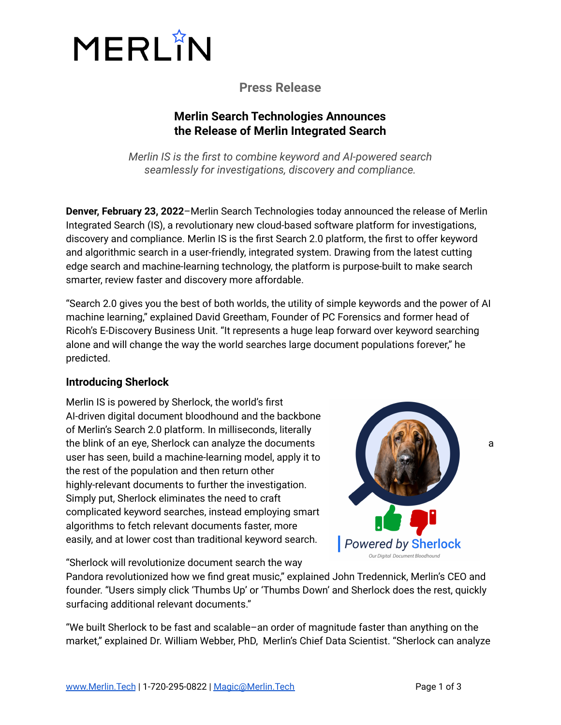

# **Press Release**

## **Merlin Search Technologies Announces the Release of Merlin Integrated Search**

*Merlin IS is the first to combine keyword and AI-powered search seamlessly for investigations, discovery and compliance.*

**Denver, February 23, 2022**–Merlin Search Technologies today announced the release of Merlin Integrated Search (IS), a revolutionary new cloud-based software platform for investigations, discovery and compliance. Merlin IS is the first Search 2.0 platform, the first to offer keyword and algorithmic search in a user-friendly, integrated system. Drawing from the latest cutting edge search and machine-learning technology, the platform is purpose-built to make search smarter, review faster and discovery more affordable.

"Search 2.0 gives you the best of both worlds, the utility of simple keywords and the power of AI machine learning," explained David Greetham, Founder of PC Forensics and former head of Ricoh's E-Discovery Business Unit. "It represents a huge leap forward over keyword searching alone and will change the way the world searches large document populations forever," he predicted.

## **Introducing Sherlock**

Merlin IS is powered by Sherlock, the world's first AI-driven digital document bloodhound and the backbone of Merlin's Search 2.0 platform. In milliseconds, literally the blink of an eye, Sherlock can analyze the documents **and the state of the state of a** same of a user has seen, build a machine-learning model, apply it to the rest of the population and then return other highly-relevant documents to further the investigation. Simply put, Sherlock eliminates the need to craft complicated keyword searches, instead employing smart algorithms to fetch relevant documents faster, more easily, and at lower cost than traditional keyword search.

"Sherlock will revolutionize document search the way



Pandora revolutionized how we find great music," explained John Tredennick, Merlin's CEO and founder. "Users simply click 'Thumbs Up' or 'Thumbs Down' and Sherlock does the rest, quickly surfacing additional relevant documents."

"We built Sherlock to be fast and scalable–an order of magnitude faster than anything on the market," explained Dr. William Webber, PhD, Merlin's Chief Data Scientist. "Sherlock can analyze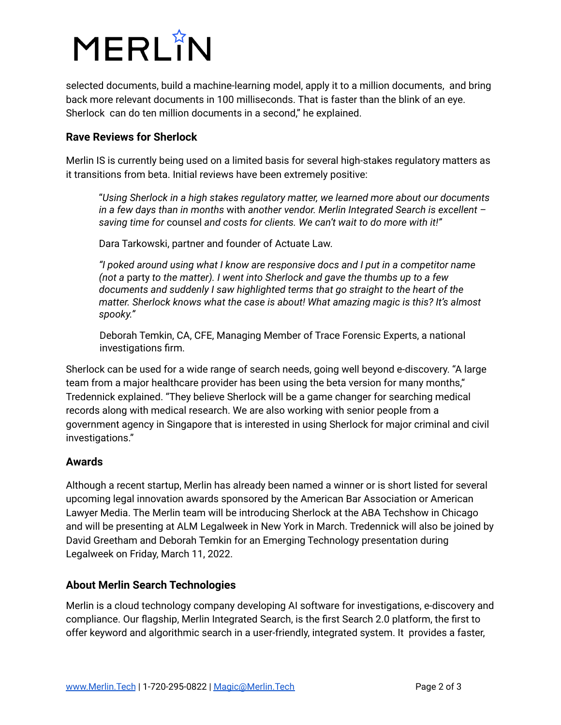

selected documents, build a machine-learning model, apply it to a million documents, and bring back more relevant documents in 100 milliseconds. That is faster than the blink of an eye. Sherlock can do ten million documents in a second," he explained.

#### **Rave Reviews for Sherlock**

Merlin IS is currently being used on a limited basis for several high-stakes regulatory matters as it transitions from beta. Initial reviews have been extremely positive:

"*Using Sherlock in a high stakes regulatory matter, we learned more about our documents in a few days than in months* with *another vendor. Merlin Integrated Search is excellent – saving time for* counsel *and costs for clients. We can't wait to do more with it!"*

Dara Tarkowski, partner and founder of Actuate Law.

*"I poked around using what I know are responsive docs and I put in a competitor name (not a* party *to the matter). I went into Sherlock and gave the thumbs up to a few documents and suddenly I saw highlighted terms that go straight to the heart of the matter. Sherlock knows what the case is about! What amazing magic is this? It's almost spooky."*

Deborah Temkin, CA, CFE, Managing Member of Trace Forensic Experts, a national investigations firm.

Sherlock can be used for a wide range of search needs, going well beyond e-discovery. "A large team from a major healthcare provider has been using the beta version for many months," Tredennick explained. "They believe Sherlock will be a game changer for searching medical records along with medical research. We are also working with senior people from a government agency in Singapore that is interested in using Sherlock for major criminal and civil investigations."

## **Awards**

Although a recent startup, Merlin has already been named a winner or is short listed for several upcoming legal innovation awards sponsored by the American Bar Association or American Lawyer Media. The Merlin team will be introducing Sherlock at the ABA Techshow in Chicago and will be presenting at ALM Legalweek in New York in March. Tredennick will also be joined by David Greetham and Deborah Temkin for an Emerging Technology presentation during Legalweek on Friday, March 11, 2022.

## **About Merlin Search Technologies**

Merlin is a cloud technology company developing AI software for investigations, e-discovery and compliance. Our flagship, Merlin Integrated Search, is the first Search 2.0 platform, the first to offer keyword and algorithmic search in a user-friendly, integrated system. It provides a faster,